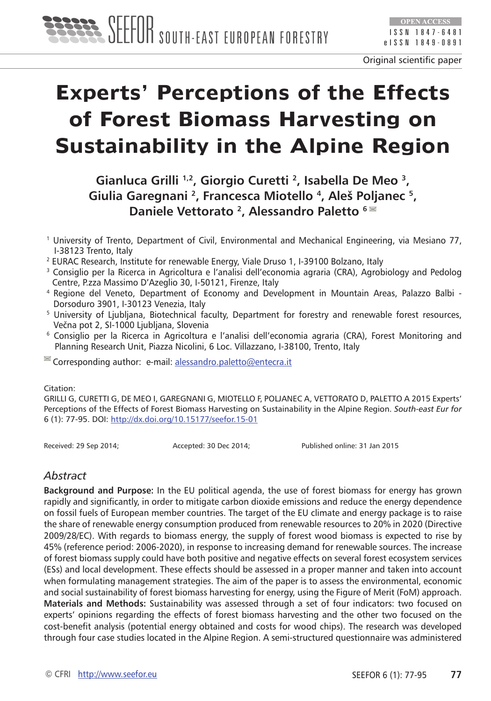

# **Experts' Perceptions of the Effects of Forest Biomass Harvesting on Sustainability in the Alpine Region**

**Gianluca Grilli 1,2, Giorgio Curetti 2, Isabella De Meo 3, Giulia Garegnani 2, Francesca Miotello 4, Aleš Poljanec 5, Daniele Vettorato 2, Alessandro Paletto 6** 

- 1 University of Trento, Department of Civil, Environmental and Mechanical Engineering, via Mesiano 77, I-38123 Trento, Italy
- <sup>2</sup> EURAC Research, Institute for renewable Energy, Viale Druso 1, I-39100 Bolzano, Italy
- 3 Consiglio per la Ricerca in Agricoltura e l'analisi dell'economia agraria (CRA), Agrobiology and Pedolog Centre, P.zza Massimo D'Azeglio 30, I-50121, Firenze, Italy
- <sup>4</sup> Regione del Veneto, Department of Economy and Development in Mountain Areas, Palazzo Balbi Dorsoduro 3901, I-30123 Venezia, Italy
- 5 University of Ljubljana, Biotechnical faculty, Department for forestry and renewable forest resources, Večna pot 2, SI-1000 Ljubljana, Slovenia
- 6 Consiglio per la Ricerca in Agricoltura e l'analisi dell'economia agraria (CRA), Forest Monitoring and Planning Research Unit, Piazza Nicolini, 6 Loc. Villazzano, I-38100, Trento, Italy
- Corresponding author: e-mail: alessandro.paletto@entecra.it

#### Citation:

GRILLI G, CURETTI G, DE MEO I, GAREGNANI G, MIOTELLO F, POLJANEC A, VETTORATO D, PALETTO A 2015 Experts' Perceptions of the Effects of Forest Biomass Harvesting on Sustainability in the Alpine Region. *South-east Eur for* 6 (1): 77-95. DOI: <http://dx.doi.org/10.15177/seefor.15-01>

Received: 29 Sep 2014; 
Accepted: 30 Dec 2014; 
Published online: 31 Jan 2015

#### *Abstract*

**Background and Purpose:** In the EU political agenda, the use of forest biomass for energy has grown rapidly and significantly, in order to mitigate carbon dioxide emissions and reduce the energy dependence on fossil fuels of European member countries. The target of the EU climate and energy package is to raise the share of renewable energy consumption produced from renewable resources to 20% in 2020 (Directive 2009/28/EC). With regards to biomass energy, the supply of forest wood biomass is expected to rise by 45% (reference period: 2006-2020), in response to increasing demand for renewable sources. The increase of forest biomass supply could have both positive and negative effects on several forest ecosystem services (ESs) and local development. These effects should be assessed in a proper manner and taken into account when formulating management strategies. The aim of the paper is to assess the environmental, economic and social sustainability of forest biomass harvesting for energy, using the Figure of Merit (FoM) approach. **Materials and Methods:** Sustainability was assessed through a set of four indicators: two focused on experts' opinions regarding the effects of forest biomass harvesting and the other two focused on the cost-benefit analysis (potential energy obtained and costs for wood chips). The research was developed through four case studies located in the Alpine Region. A semi-structured questionnaire was administered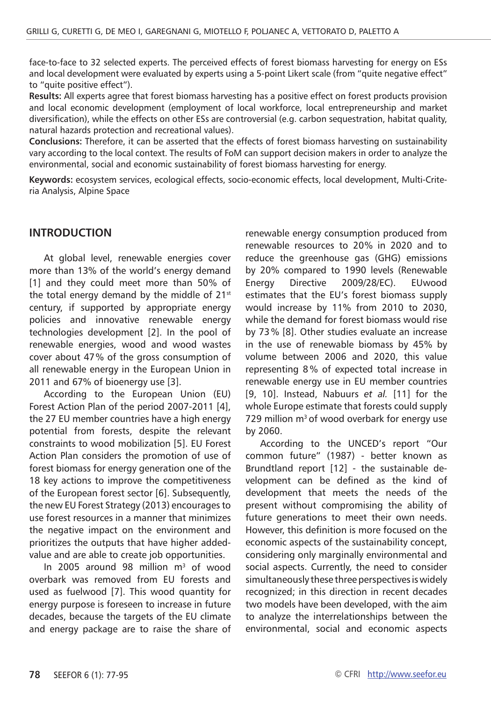face-to-face to 32 selected experts. The perceived effects of forest biomass harvesting for energy on ESs and local development were evaluated by experts using a 5-point Likert scale (from "quite negative effect" to "quite positive effect").

**Results:** All experts agree that forest biomass harvesting has a positive effect on forest products provision and local economic development (employment of local workforce, local entrepreneurship and market diversification), while the effects on other ESs are controversial (e.g. carbon sequestration, habitat quality, natural hazards protection and recreational values).

**Conclusions:** Therefore, it can be asserted that the effects of forest biomass harvesting on sustainability vary according to the local context. The results of FoM can support decision makers in order to analyze the environmental, social and economic sustainability of forest biomass harvesting for energy.

**Keywords:** ecosystem services, ecological effects, socio-economic effects, local development, Multi-Criteria Analysis, Alpine Space

#### **INTRODUCTION**

At global level, renewable energies cover more than 13% of the world's energy demand [1] and they could meet more than 50% of the total energy demand by the middle of  $21^{st}$ century, if supported by appropriate energy policies and innovative renewable energy technologies development [2]. In the pool of renewable energies, wood and wood wastes cover about 47% of the gross consumption of all renewable energy in the European Union in 2011 and 67% of bioenergy use [3].

According to the European Union (EU) Forest Action Plan of the period 2007-2011 [4], the 27 EU member countries have a high energy potential from forests, despite the relevant constraints to wood mobilization [5]. EU Forest Action Plan considers the promotion of use of forest biomass for energy generation one of the 18 key actions to improve the competitiveness of the European forest sector [6]. Subsequently, the new EU Forest Strategy (2013) encourages to use forest resources in a manner that minimizes the negative impact on the environment and prioritizes the outputs that have higher addedvalue and are able to create job opportunities.

In 2005 around 98 million  $m<sup>3</sup>$  of wood overbark was removed from EU forests and used as fuelwood [7]. This wood quantity for energy purpose is foreseen to increase in future decades, because the targets of the EU climate and energy package are to raise the share of renewable energy consumption produced from renewable resources to 20% in 2020 and to reduce the greenhouse gas (GHG) emissions by 20% compared to 1990 levels (Renewable Energy Directive 2009/28/EC). EUwood estimates that the EU's forest biomass supply would increase by 11% from 2010 to 2030, while the demand for forest biomass would rise by 73% [8]. Other studies evaluate an increase in the use of renewable biomass by 45% by volume between 2006 and 2020, this value representing 8 % of expected total increase in renewable energy use in EU member countries [9, 10]. Instead, Nabuurs *et al.* [11] for the whole Europe estimate that forests could supply 729 million  $m<sup>3</sup>$  of wood overbark for energy use by 2060.

According to the UNCED's report "Our common future" (1987) - better known as Brundtland report [12] - the sustainable development can be defined as the kind of development that meets the needs of the present without compromising the ability of future generations to meet their own needs. However, this definition is more focused on the economic aspects of the sustainability concept, considering only marginally environmental and social aspects. Currently, the need to consider simultaneously these three perspectives is widely recognized; in this direction in recent decades two models have been developed, with the aim to analyze the interrelationships between the environmental, social and economic aspects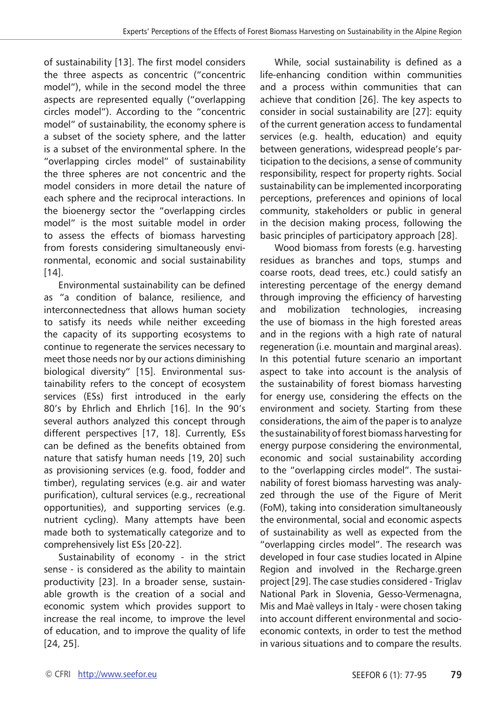of sustainability [13]. The first model considers the three aspects as concentric ("concentric model"), while in the second model the three aspects are represented equally ("overlapping circles model"). According to the "concentric model" of sustainability, the economy sphere is a subset of the society sphere, and the latter is a subset of the environmental sphere. In the "overlapping circles model" of sustainability the three spheres are not concentric and the model considers in more detail the nature of each sphere and the reciprocal interactions. In the bioenergy sector the "overlapping circles model" is the most suitable model in order to assess the effects of biomass harvesting from forests considering simultaneously environmental, economic and social sustainability  $[14]$ .

Environmental sustainability can be defined as "a condition of balance, resilience, and interconnectedness that allows human society to satisfy its needs while neither exceeding the capacity of its supporting ecosystems to continue to regenerate the services necessary to meet those needs nor by our actions diminishing biological diversity" [15]. Environmental sustainability refers to the concept of ecosystem services (ESs) first introduced in the early 80's by Ehrlich and Ehrlich [16]. In the 90's several authors analyzed this concept through different perspectives [17, 18]. Currently, ESs can be defined as the benefits obtained from nature that satisfy human needs [19, 20] such as provisioning services (e.g. food, fodder and timber), regulating services (e.g. air and water purification), cultural services (e.g., recreational opportunities), and supporting services (e.g. nutrient cycling). Many attempts have been made both to systematically categorize and to comprehensively list ESs [20-22].

Sustainability of economy - in the strict sense - is considered as the ability to maintain productivity [23]. In a broader sense, sustainable growth is the creation of a social and economic system which provides support to increase the real income, to improve the level of education, and to improve the quality of life [24, 25].

While, social sustainability is defined as a life-enhancing condition within communities and a process within communities that can achieve that condition [26]. The key aspects to consider in social sustainability are [27]: equity of the current generation access to fundamental services (e.g. health, education) and equity between generations, widespread people's participation to the decisions, a sense of community responsibility, respect for property rights. Social sustainability can be implemented incorporating perceptions, preferences and opinions of local community, stakeholders or public in general in the decision making process, following the basic principles of participatory approach [28].

Wood biomass from forests (e.g. harvesting residues as branches and tops, stumps and coarse roots, dead trees, etc.) could satisfy an interesting percentage of the energy demand through improving the efficiency of harvesting and mobilization technologies, increasing the use of biomass in the high forested areas and in the regions with a high rate of natural regeneration (i.e. mountain and marginal areas). In this potential future scenario an important aspect to take into account is the analysis of the sustainability of forest biomass harvesting for energy use, considering the effects on the environment and society. Starting from these considerations, the aim of the paper is to analyze the sustainability of forest biomass harvesting for energy purpose considering the environmental, economic and social sustainability according to the "overlapping circles model". The sustainability of forest biomass harvesting was analyzed through the use of the Figure of Merit (FoM), taking into consideration simultaneously the environmental, social and economic aspects of sustainability as well as expected from the "overlapping circles model". The research was developed in four case studies located in Alpine Region and involved in the Recharge.green project [29]. The case studies considered - Triglav National Park in Slovenia, Gesso-Vermenagna, Mis and Maè valleys in Italy - were chosen taking into account different environmental and socioeconomic contexts, in order to test the method in various situations and to compare the results.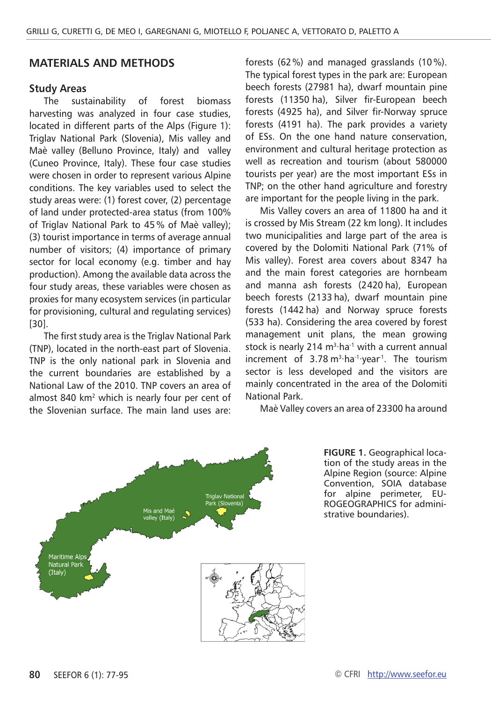#### **Materials and methods**

#### **Study Areas**

The sustainability of forest biomass harvesting was analyzed in four case studies, located in different parts of the Alps (Figure 1): Triglav National Park (Slovenia), Mis valley and Maè valley (Belluno Province, Italy) and valley (Cuneo Province, Italy). These four case studies were chosen in order to represent various Alpine conditions. The key variables used to select the study areas were: (1) forest cover, (2) percentage of land under protected-area status (from 100% of Triglav National Park to 45 % of Maè valley); (3) tourist importance in terms of average annual number of visitors; (4) importance of primary sector for local economy (e.g. timber and hay production). Among the available data across the four study areas, these variables were chosen as proxies for many ecosystem services (in particular for provisioning, cultural and regulating services) [30].

The first study area is the Triglav National Park (TNP), located in the north-east part of Slovenia. TNP is the only national park in Slovenia and the current boundaries are established by a National Law of the 2010. TNP covers an area of almost 840 km<sup>2</sup> which is nearly four per cent of the Slovenian surface. The main land uses are:

forests (62%) and managed grasslands (10 %). The typical forest types in the park are: European beech forests (27981 ha), dwarf mountain pine forests (11350 ha), Silver fir-European beech forests (4925 ha), and Silver fir-Norway spruce forests (4191 ha). The park provides a variety of ESs. On the one hand nature conservation, environment and cultural heritage protection as well as recreation and tourism (about 580000 tourists per year) are the most important ESs in TNP; on the other hand agriculture and forestry are important for the people living in the park.

Mis Valley covers an area of 11800 ha and it is crossed by Mis Stream (22 km long). It includes two municipalities and large part of the area is covered by the Dolomiti National Park (71% of Mis valley). Forest area covers about 8347 ha and the main forest categories are hornbeam and manna ash forests (2420 ha), European beech forests (2133 ha), dwarf mountain pine forests (1442 ha) and Norway spruce forests (533 ha). Considering the area covered by forest management unit plans, the mean growing stock is nearly 214 m<sup>3</sup>⋅ha<sup>-1</sup> with a current annual increment of 3.78 m3∙ha-1∙year-1. The tourism sector is less developed and the visitors are mainly concentrated in the area of the Dolomiti National Park.

Maè Valley covers an area of 23300 ha around



**Figure 1.** Geographical location of the study areas in the Alpine Region (source: Alpine Convention, SOIA database for alpine perimeter, EU-ROGEOGRAPHICS for administrative boundaries).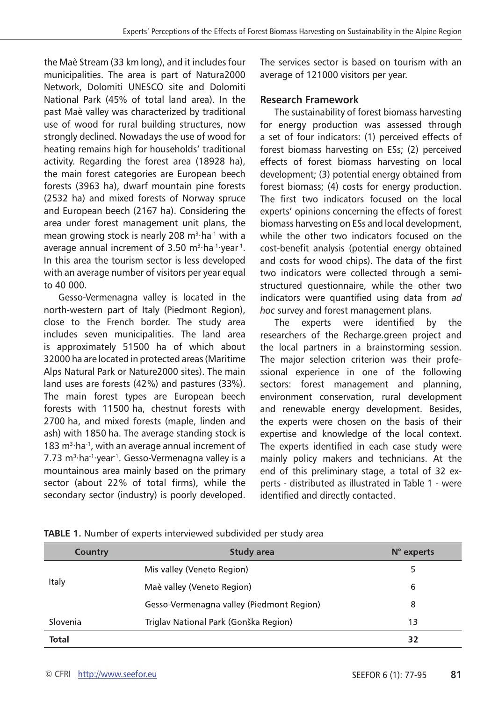the Maè Stream (33 km long), and it includes four municipalities. The area is part of Natura2000 Network, Dolomiti UNESCO site and Dolomiti National Park (45% of total land area). In the past Maè valley was characterized by traditional use of wood for rural building structures, now strongly declined. Nowadays the use of wood for heating remains high for households' traditional activity. Regarding the forest area (18928 ha), the main forest categories are European beech forests (3963 ha), dwarf mountain pine forests (2532 ha) and mixed forests of Norway spruce and European beech (2167 ha). Considering the area under forest management unit plans, the mean growing stock is nearly 208 m<sup>3</sup>⋅ha<sup>-1</sup> with a average annual increment of 3.50 m<sup>3</sup>⋅ha<sup>-1</sup>⋅year<sup>-1</sup>. In this area the tourism sector is less developed with an average number of visitors per year equal to 40 000.

Gesso-Vermenagna valley is located in the north-western part of Italy (Piedmont Region), close to the French border. The study area includes seven municipalities. The land area is approximately 51500 ha of which about 32000 ha are located in protected areas (Maritime Alps Natural Park or Nature2000 sites). The main land uses are forests (42%) and pastures (33%). The main forest types are European beech forests with 11500 ha, chestnut forests with 2700 ha, and mixed forests (maple, linden and ash) with 1850 ha. The average standing stock is 183 m<sup>3</sup>⋅ha<sup>-1</sup>, with an average annual increment of 7.73 m<sup>3</sup>⋅ha<sup>-1</sup>⋅year<sup>1</sup>. Gesso-Vermenagna valley is a mountainous area mainly based on the primary sector (about 22% of total firms), while the secondary sector (industry) is poorly developed.

The services sector is based on tourism with an average of 121000 visitors per year.

#### **Research Framework**

The sustainability of forest biomass harvesting for energy production was assessed through a set of four indicators: (1) perceived effects of forest biomass harvesting on ESs; (2) perceived effects of forest biomass harvesting on local development; (3) potential energy obtained from forest biomass; (4) costs for energy production. The first two indicators focused on the local experts' opinions concerning the effects of forest biomass harvesting on ESs and local development, while the other two indicators focused on the cost-benefit analysis (potential energy obtained and costs for wood chips). The data of the first two indicators were collected through a semistructured questionnaire, while the other two indicators were quantified using data from *ad hoc* survey and forest management plans.

The experts were identified by the researchers of the Recharge.green project and the local partners in a brainstorming session. The major selection criterion was their professional experience in one of the following sectors: forest management and planning, environment conservation, rural development and renewable energy development. Besides, the experts were chosen on the basis of their expertise and knowledge of the local context. The experts identified in each case study were mainly policy makers and technicians. At the end of this preliminary stage, a total of 32 experts - distributed as illustrated in Table 1 - were identified and directly contacted.

| Country  | Study area                                | $N^{\circ}$ experts |
|----------|-------------------------------------------|---------------------|
|          | Mis valley (Veneto Region)                | 5                   |
| Italy    | Maè valley (Veneto Region)                | 6                   |
|          | Gesso-Vermenagna valley (Piedmont Region) | 8                   |
| Slovenia | Triglav National Park (Gonška Region)     | 13                  |
| Total    |                                           | 32                  |

|  |  |  |  | TABLE 1. Number of experts interviewed subdivided per study area |
|--|--|--|--|------------------------------------------------------------------|
|--|--|--|--|------------------------------------------------------------------|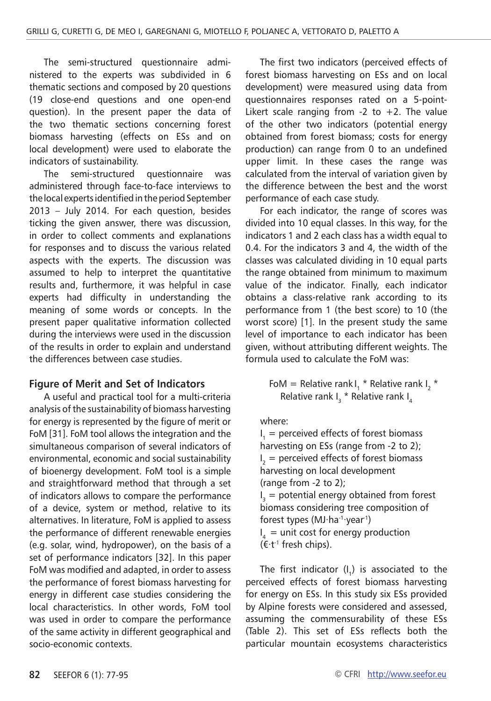The semi-structured questionnaire administered to the experts was subdivided in 6 thematic sections and composed by 20 questions (19 close-end questions and one open-end question). In the present paper the data of the two thematic sections concerning forest biomass harvesting (effects on ESs and on local development) were used to elaborate the indicators of sustainability.

The semi-structured questionnaire was administered through face-to-face interviews to the local experts identified in the period September 2013 – July 2014. For each question, besides ticking the given answer, there was discussion, in order to collect comments and explanations for responses and to discuss the various related aspects with the experts. The discussion was assumed to help to interpret the quantitative results and, furthermore, it was helpful in case experts had difficulty in understanding the meaning of some words or concepts. In the present paper qualitative information collected during the interviews were used in the discussion of the results in order to explain and understand the differences between case studies.

#### **Figure of Merit and Set of Indicators**

A useful and practical tool for a multi-criteria analysis of the sustainability of biomass harvesting for energy is represented by the figure of merit or FoM [31]. FoM tool allows the integration and the simultaneous comparison of several indicators of environmental, economic and social sustainability of bioenergy development. FoM tool is a simple and straightforward method that through a set of indicators allows to compare the performance of a device, system or method, relative to its alternatives. In literature, FoM is applied to assess the performance of different renewable energies (e.g. solar, wind, hydropower), on the basis of a set of performance indicators [32]. In this paper FoM was modified and adapted, in order to assess the performance of forest biomass harvesting for energy in different case studies considering the local characteristics. In other words, FoM tool was used in order to compare the performance of the same activity in different geographical and socio-economic contexts.

The first two indicators (perceived effects of forest biomass harvesting on ESs and on local development) were measured using data from questionnaires responses rated on a 5-point-Likert scale ranging from  $-2$  to  $+2$ . The value of the other two indicators (potential energy obtained from forest biomass; costs for energy production) can range from 0 to an undefined upper limit. In these cases the range was calculated from the interval of variation given by the difference between the best and the worst performance of each case study.

For each indicator, the range of scores was divided into 10 equal classes. In this way, for the indicators 1 and 2 each class has a width equal to 0.4. For the indicators 3 and 4, the width of the classes was calculated dividing in 10 equal parts the range obtained from minimum to maximum value of the indicator. Finally, each indicator obtains a class-relative rank according to its performance from 1 (the best score) to 10 (the worst score) [1]. In the present study the same level of importance to each indicator has been given, without attributing different weights. The formula used to calculate the FoM was:

> FoM = Relative rank  $I_1$  \* Relative rank  $I_2$  \* Relative rank  $I_3$  \* Relative rank  $I_4$

where:

 $I_1$  = perceived effects of forest biomass harvesting on ESs (range from -2 to 2);  $I_2$  = perceived effects of forest biomass harvesting on local development (range from -2 to 2);  $I_3$  = potential energy obtained from forest biomass considering tree composition of forest types (MJ∙ha-1∙year-1)  $I_4$  = unit cost for energy production

(€∙t-1 fresh chips).

The first indicator  $(I_1)$  is associated to the perceived effects of forest biomass harvesting for energy on ESs. In this study six ESs provided by Alpine forests were considered and assessed, assuming the commensurability of these ESs (Table 2). This set of ESs reflects both the particular mountain ecosystems characteristics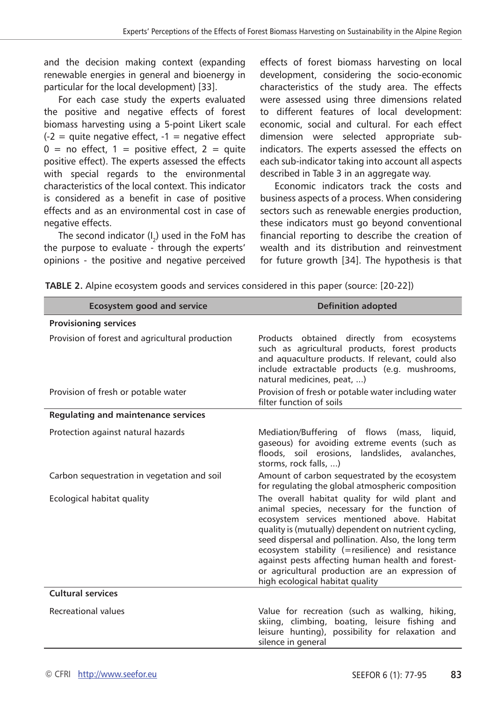and the decision making context (expanding renewable energies in general and bioenergy in particular for the local development) [33].

For each case study the experts evaluated the positive and negative effects of forest biomass harvesting using a 5-point Likert scale  $(-2)$  = quite negative effect,  $-1$  = negative effect  $0 =$  no effect,  $1 =$  positive effect,  $2 =$  quite positive effect). The experts assessed the effects .<br>with special regards to the environmental characteristics of the local context. This indicator is considered as a benefit in case of positive effects and as an environmental cost in case of negative effects.

The second indicator  $(I_2)$  used in the FoM has the purpose to evaluate - through the experts' opinions - the positive and negative perceived effects of forest biomass harvesting on local development, considering the socio-economic characteristics of the study area. The effects were assessed using three dimensions related to different features of local development: economic, social and cultural. For each effect dimension were selected appropriate subindicators. The experts assessed the effects on each sub-indicator taking into account all aspects described in Table 3 in an aggregate way.

Economic indicators track the costs and business aspects of a process. When considering sectors such as renewable energies production, these indicators must go beyond conventional financial reporting to describe the creation of wealth and its distribution and reinvestment for future growth [34]. The hypothesis is that

| <b>Ecosystem good and service</b>               | <b>Definition adopted</b>                                                                                                                                                                                                                                                                                                                                                                                                                                   |
|-------------------------------------------------|-------------------------------------------------------------------------------------------------------------------------------------------------------------------------------------------------------------------------------------------------------------------------------------------------------------------------------------------------------------------------------------------------------------------------------------------------------------|
| <b>Provisioning services</b>                    |                                                                                                                                                                                                                                                                                                                                                                                                                                                             |
| Provision of forest and agricultural production | Products obtained directly from ecosystems<br>such as agricultural products, forest products<br>and aquaculture products. If relevant, could also<br>include extractable products (e.g. mushrooms,<br>natural medicines, peat, )                                                                                                                                                                                                                            |
| Provision of fresh or potable water             | Provision of fresh or potable water including water<br>filter function of soils                                                                                                                                                                                                                                                                                                                                                                             |
| Regulating and maintenance services             |                                                                                                                                                                                                                                                                                                                                                                                                                                                             |
| Protection against natural hazards              | Mediation/Buffering of flows (mass, liquid,<br>gaseous) for avoiding extreme events (such as<br>floods, soil erosions, landslides, avalanches,<br>storms, rock falls, )                                                                                                                                                                                                                                                                                     |
| Carbon sequestration in vegetation and soil     | Amount of carbon sequestrated by the ecosystem<br>for regulating the global atmospheric composition                                                                                                                                                                                                                                                                                                                                                         |
| Ecological habitat quality                      | The overall habitat quality for wild plant and<br>animal species, necessary for the function of<br>ecosystem services mentioned above. Habitat<br>quality is (mutually) dependent on nutrient cycling,<br>seed dispersal and pollination. Also, the long term<br>ecosystem stability (=resilience) and resistance<br>against pests affecting human health and forest-<br>or agricultural production are an expression of<br>high ecological habitat quality |
| Cultural services                               |                                                                                                                                                                                                                                                                                                                                                                                                                                                             |
| <b>Recreational values</b>                      | Value for recreation (such as walking, hiking,<br>skiing, climbing, boating, leisure fishing and<br>leisure hunting), possibility for relaxation and<br>silence in general                                                                                                                                                                                                                                                                                  |

**TABLE 2.** Alpine ecosystem goods and services considered in this paper (source: [20-22])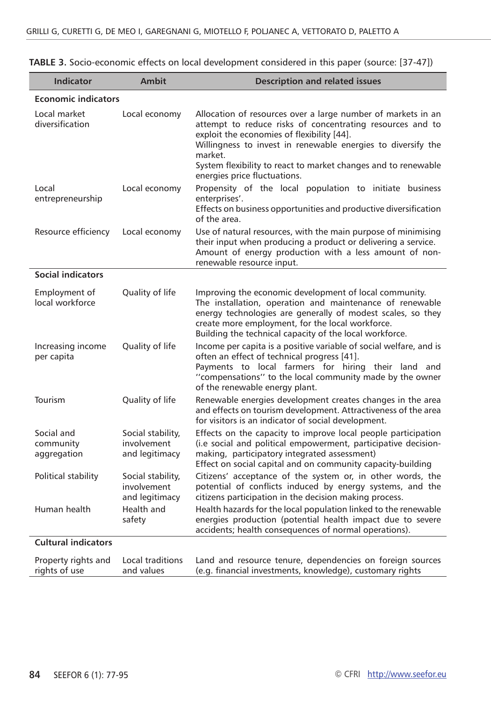| <b>Indicator</b>                       | <b>Ambit</b>                                       | <b>Description and related issues</b>                                                                                                                                                                                                                                                                                                                |
|----------------------------------------|----------------------------------------------------|------------------------------------------------------------------------------------------------------------------------------------------------------------------------------------------------------------------------------------------------------------------------------------------------------------------------------------------------------|
| <b>Economic indicators</b>             |                                                    |                                                                                                                                                                                                                                                                                                                                                      |
| Local market<br>diversification        | Local economy                                      | Allocation of resources over a large number of markets in an<br>attempt to reduce risks of concentrating resources and to<br>exploit the economies of flexibility [44].<br>Willingness to invest in renewable energies to diversify the<br>market.<br>System flexibility to react to market changes and to renewable<br>energies price fluctuations. |
| Local<br>entrepreneurship              | Local economy                                      | Propensity of the local population to initiate business<br>enterprises'.<br>Effects on business opportunities and productive diversification<br>of the area.                                                                                                                                                                                         |
| Resource efficiency                    | Local economy                                      | Use of natural resources, with the main purpose of minimising<br>their input when producing a product or delivering a service.<br>Amount of energy production with a less amount of non-<br>renewable resource input.                                                                                                                                |
| <b>Social indicators</b>               |                                                    |                                                                                                                                                                                                                                                                                                                                                      |
| Employment of<br>local workforce       | Quality of life                                    | Improving the economic development of local community.<br>The installation, operation and maintenance of renewable<br>energy technologies are generally of modest scales, so they<br>create more employment, for the local workforce.<br>Building the technical capacity of the local workforce.                                                     |
| Increasing income<br>per capita        | Quality of life                                    | Income per capita is a positive variable of social welfare, and is<br>often an effect of technical progress [41].<br>Payments to local farmers for hiring their land and<br>"compensations" to the local community made by the owner<br>of the renewable energy plant.                                                                               |
| Tourism                                | Quality of life                                    | Renewable energies development creates changes in the area<br>and effects on tourism development. Attractiveness of the area<br>for visitors is an indicator of social development.                                                                                                                                                                  |
| Social and<br>community<br>aggregation | Social stability,<br>involvement<br>and legitimacy | Effects on the capacity to improve local people participation<br>(i.e social and political empowerment, participative decision-<br>making, participatory integrated assessment)<br>Effect on social capital and on community capacity-building                                                                                                       |
| Political stability                    | Social stability,<br>involvement<br>and legitimacy | Citizens' acceptance of the system or, in other words, the<br>potential of conflicts induced by energy systems, and the<br>citizens participation in the decision making process.                                                                                                                                                                    |
| Human health                           | Health and<br>safety                               | Health hazards for the local population linked to the renewable<br>energies production (potential health impact due to severe<br>accidents; health consequences of normal operations).                                                                                                                                                               |
| <b>Cultural indicators</b>             |                                                    |                                                                                                                                                                                                                                                                                                                                                      |
| Property rights and<br>rights of use   | Local traditions<br>and values                     | Land and resource tenure, dependencies on foreign sources<br>(e.g. financial investments, knowledge), customary rights                                                                                                                                                                                                                               |

| TABLE 3. Socio-economic effects on local development considered in this paper (source: [37-47]) |  |  |
|-------------------------------------------------------------------------------------------------|--|--|
|-------------------------------------------------------------------------------------------------|--|--|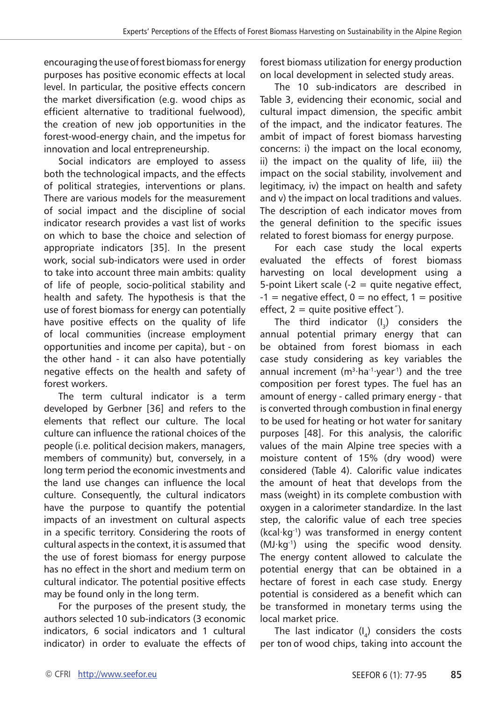encouraging the use of forest biomass for energy purposes has positive economic effects at local level. In particular, the positive effects concern the market diversification (e.g. wood chips as efficient alternative to traditional fuelwood), the creation of new job opportunities in the forest-wood-energy chain, and the impetus for innovation and local entrepreneurship.

Social indicators are employed to assess both the technological impacts, and the effects of political strategies, interventions or plans. There are various models for the measurement of social impact and the discipline of social indicator research provides a vast list of works on which to base the choice and selection of appropriate indicators [35]. In the present work, social sub-indicators were used in order to take into account three main ambits: quality of life of people, socio-political stability and health and safety. The hypothesis is that the use of forest biomass for energy can potentially have positive effects on the quality of life of local communities (increase employment opportunities and income per capita), but - on the other hand - it can also have potentially negative effects on the health and safety of forest workers.

The term cultural indicator is a term developed by Gerbner [36] and refers to the elements that reflect our culture. The local culture can influence the rational choices of the people (i.e. political decision makers, managers, members of community) but, conversely, in a long term period the economic investments and the land use changes can influence the local culture. Consequently, the cultural indicators have the purpose to quantify the potential impacts of an investment on cultural aspects in a specific territory. Considering the roots of cultural aspects in the context, it is assumed that the use of forest biomass for energy purpose has no effect in the short and medium term on cultural indicator. The potential positive effects may be found only in the long term.

For the purposes of the present study, the authors selected 10 sub-indicators (3 economic indicators, 6 social indicators and 1 cultural indicator) in order to evaluate the effects of forest biomass utilization for energy production on local development in selected study areas.

The 10 sub-indicators are described in Table 3, evidencing their economic, social and cultural impact dimension, the specific ambit of the impact, and the indicator features. The ambit of impact of forest biomass harvesting concerns: i) the impact on the local economy, ii) the impact on the quality of life, iii) the impact on the social stability, involvement and legitimacy, iv) the impact on health and safety and v) the impact on local traditions and values. The description of each indicator moves from the general definition to the specific issues related to forest biomass for energy purpose.

For each case study the local experts evaluated the effects of forest biomass harvesting on local development using a 5-point Likert scale  $(-2)$  = quite negative effect,  $-1$  = negative effect,  $0 =$  no effect,  $1 =$  positive effect,  $2 =$  quite positive effect").

The third indicator  $(I_3)$  considers the annual potential primary energy that can be obtained from forest biomass in each case study considering as key variables the annual increment (m<sup>3</sup>∙ha<sup>-1</sup>∙year<sup>1</sup>) and the tree composition per forest types. The fuel has an amount of energy - called primary energy - that is converted through combustion in final energy to be used for heating or hot water for sanitary purposes [48]. For this analysis, the calorific values of the main Alpine tree species with a moisture content of 15% (dry wood) were considered (Table 4). Calorific value indicates the amount of heat that develops from the mass (weight) in its complete combustion with oxygen in a calorimeter standardize. In the last step, the calorific value of each tree species (kcal∙kg-1) was transformed in energy content (MJ∙kg-1) using the specific wood density. The energy content allowed to calculate the potential energy that can be obtained in a hectare of forest in each case study. Energy potential is considered as a benefit which can be transformed in monetary terms using the local market price.

The last indicator  $(I_a)$  considers the costs per ton of wood chips, taking into account the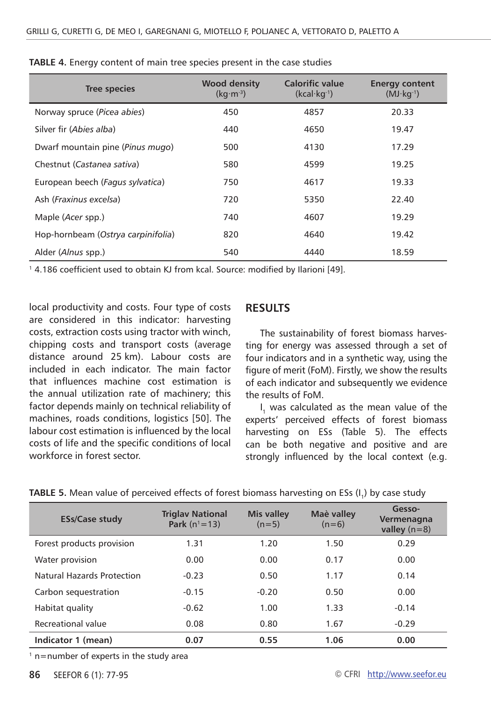| <b>Tree species</b>                | <b>Wood density</b><br>$(kq·m-3)$ | <b>Calorific value</b><br>$(kcal·kg-1)$ | <b>Energy content</b><br>$(MJ·kg-1)$ |
|------------------------------------|-----------------------------------|-----------------------------------------|--------------------------------------|
| Norway spruce (Picea abies)        | 450                               | 4857                                    | 20.33                                |
| Silver fir (Abies alba)            | 440                               | 4650                                    | 19.47                                |
| Dwarf mountain pine (Pinus mugo)   | 500                               | 4130                                    | 17.29                                |
| Chestnut (Castanea sativa)         | 580                               | 4599                                    | 19.25                                |
| European beech (Fagus sylvatica)   | 750                               | 4617                                    | 19.33                                |
| Ash (Fraxinus excelsa)             | 720                               | 5350                                    | 22.40                                |
| Maple (Acer spp.)                  | 740                               | 4607                                    | 19.29                                |
| Hop-hornbeam (Ostrya carpinifolia) | 820                               | 4640                                    | 19.42                                |
| Alder ( <i>Alnus</i> spp.)         | 540                               | 4440                                    | 18.59                                |

**TABLE 4.** Energy content of main tree species present in the case studies

<sup>1</sup> 4.186 coefficient used to obtain KJ from kcal. Source: modified by Ilarioni [49].

local productivity and costs. Four type of costs are considered in this indicator: harvesting costs, extraction costs using tractor with winch, chipping costs and transport costs (average distance around 25 km). Labour costs are included in each indicator. The main factor that influences machine cost estimation is the annual utilization rate of machinery; this factor depends mainly on technical reliability of machines, roads conditions, logistics [50]. The labour cost estimation is influenced by the local costs of life and the specific conditions of local workforce in forest sector.

#### **Results**

The sustainability of forest biomass harvesting for energy was assessed through a set of four indicators and in a synthetic way, using the figure of merit (FoM). Firstly, we show the results of each indicator and subsequently we evidence the results of FoM.

I<sub>1</sub> was calculated as the mean value of the experts' perceived effects of forest biomass harvesting on ESs (Table 5). The effects can be both negative and positive and are strongly influenced by the local context (e.g.

| <b>ESs/Case study</b>      | <b>Triglay National</b><br><b>Park</b> ( $n^1 = 13$ ) | <b>Mis valley</b><br>$(n=5)$ | Maè valley<br>$(n=6)$ | Gesso-<br>Vermenagna<br>valley $(n=8)$ |
|----------------------------|-------------------------------------------------------|------------------------------|-----------------------|----------------------------------------|
| Forest products provision  | 1.31                                                  | 1.20                         | 1.50                  | 0.29                                   |
| Water provision            | 0.00                                                  | 0.00                         | 0.17                  | 0.00                                   |
| Natural Hazards Protection | $-0.23$                                               | 0.50                         | 1.17                  | 0.14                                   |
| Carbon sequestration       | $-0.15$                                               | $-0.20$                      | 0.50                  | 0.00                                   |
| Habitat quality            | $-0.62$                                               | 1.00                         | 1.33                  | $-0.14$                                |
| Recreational value         | 0.08                                                  | 0.80                         | 1.67                  | $-0.29$                                |
| Indicator 1 (mean)         | 0.07                                                  | 0.55                         | 1.06                  | 0.00                                   |

**TABLE 5.** Mean value of perceived effects of forest biomass harvesting on ESs (I<sub>a</sub>) by case study

 $1$  n=number of experts in the study area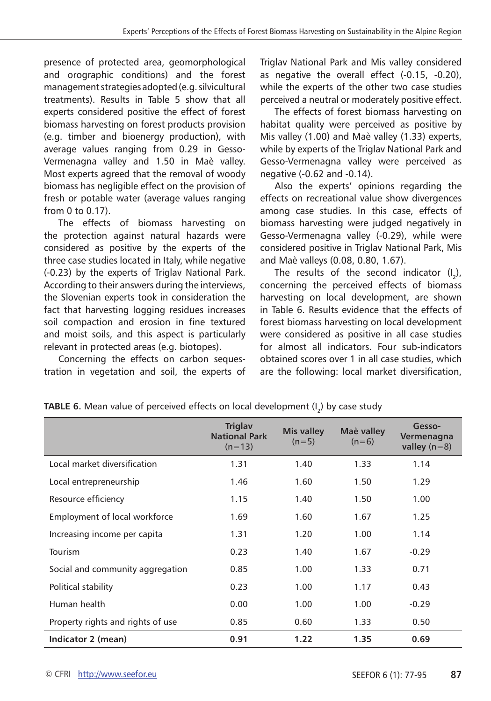presence of protected area, geomorphological and orographic conditions) and the forest management strategies adopted (e.g. silvicultural treatments). Results in Table 5 show that all experts considered positive the effect of forest biomass harvesting on forest products provision (e.g. timber and bioenergy production), with average values ranging from 0.29 in Gesso-Vermenagna valley and 1.50 in Maè valley. Most experts agreed that the removal of woody biomass has negligible effect on the provision of fresh or potable water (average values ranging from 0 to 0.17).

The effects of biomass harvesting on the protection against natural hazards were considered as positive by the experts of the three case studies located in Italy, while negative (-0.23) by the experts of Triglav National Park. According to their answers during the interviews, the Slovenian experts took in consideration the fact that harvesting logging residues increases soil compaction and erosion in fine textured and moist soils, and this aspect is particularly relevant in protected areas (e.g. biotopes).

Concerning the effects on carbon sequestration in vegetation and soil, the experts of Triglav National Park and Mis valley considered as negative the overall effect (-0.15, -0.20), while the experts of the other two case studies perceived a neutral or moderately positive effect.

The effects of forest biomass harvesting on habitat quality were perceived as positive by Mis valley (1.00) and Maè valley (1.33) experts, while by experts of the Triglav National Park and Gesso-Vermenagna valley were perceived as negative (-0.62 and -0.14).

Also the experts' opinions regarding the effects on recreational value show divergences among case studies. In this case, effects of biomass harvesting were judged negatively in Gesso-Vermenagna valley (-0.29), while were considered positive in Triglav National Park, Mis and Maè valleys (0.08, 0.80, 1.67).

The results of the second indicator  $(I_2)$ , concerning the perceived effects of biomass harvesting on local development, are shown in Table 6. Results evidence that the effects of forest biomass harvesting on local development were considered as positive in all case studies for almost all indicators. Four sub-indicators obtained scores over 1 in all case studies, which are the following: local market diversification,

|                                   | <b>Triglay</b><br><b>National Park</b><br>$(n=13)$ | <b>Mis valley</b><br>$(n=5)$ | Maè valley<br>$(n=6)$ | Gesso-<br>Vermenagna<br>valley $(n=8)$ |
|-----------------------------------|----------------------------------------------------|------------------------------|-----------------------|----------------------------------------|
| Local market diversification      | 1.31                                               | 1.40                         | 1.33                  | 1.14                                   |
| Local entrepreneurship            | 1.46                                               | 1.60                         | 1.50                  | 1.29                                   |
| Resource efficiency               | 1.15                                               | 1.40                         | 1.50                  | 1.00                                   |
| Employment of local workforce     | 1.69                                               | 1.60                         | 1.67                  | 1.25                                   |
| Increasing income per capita      | 1.31                                               | 1.20                         | 1.00                  | 1.14                                   |
| Tourism                           | 0.23                                               | 1.40                         | 1.67                  | $-0.29$                                |
| Social and community aggregation  | 0.85                                               | 1.00                         | 1.33                  | 0.71                                   |
| Political stability               | 0.23                                               | 1.00                         | 1.17                  | 0.43                                   |
| Human health                      | 0.00                                               | 1.00                         | 1.00                  | $-0.29$                                |
| Property rights and rights of use | 0.85                                               | 0.60                         | 1.33                  | 0.50                                   |
| Indicator 2 (mean)                | 0.91                                               | 1.22                         | 1.35                  | 0.69                                   |

**TABLE 6.** Mean value of perceived effects on local development (I<sub>2</sub>) by case study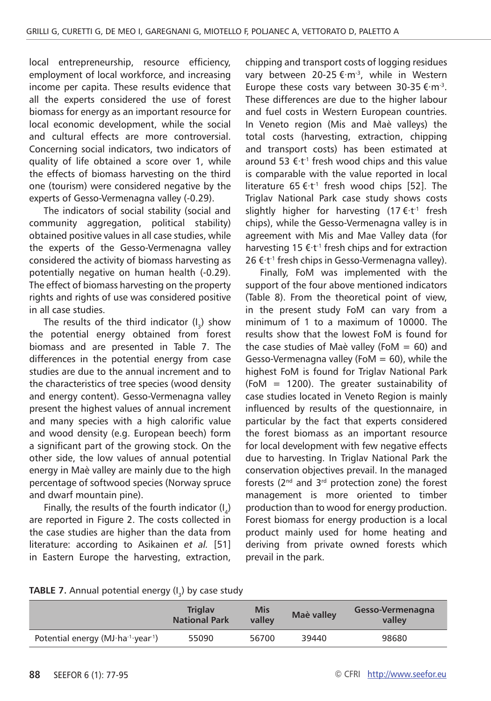local entrepreneurship, resource efficiency, employment of local workforce, and increasing income per capita. These results evidence that all the experts considered the use of forest biomass for energy as an important resource for local economic development, while the social and cultural effects are more controversial. Concerning social indicators, two indicators of quality of life obtained a score over 1, while the effects of biomass harvesting on the third one (tourism) were considered negative by the experts of Gesso-Vermenagna valley (-0.29).

The indicators of social stability (social and community aggregation, political stability) obtained positive values in all case studies, while the experts of the Gesso-Vermenagna valley considered the activity of biomass harvesting as potentially negative on human health (-0.29). The effect of biomass harvesting on the property rights and rights of use was considered positive in all case studies.

The results of the third indicator  $(I_3)$  show the potential energy obtained from forest biomass and are presented in Table 7. The differences in the potential energy from case studies are due to the annual increment and to the characteristics of tree species (wood density and energy content). Gesso-Vermenagna valley present the highest values of annual increment and many species with a high calorific value and wood density (e.g. European beech) form a significant part of the growing stock. On the other side, the low values of annual potential energy in Maè valley are mainly due to the high percentage of softwood species (Norway spruce and dwarf mountain pine).

Finally, the results of the fourth indicator  $(I_4)$ are reported in Figure 2. The costs collected in the case studies are higher than the data from literature: according to Asikainen *et al.* [51] in Eastern Europe the harvesting, extraction,

chipping and transport costs of logging residues vary between 20-25 €∙m-3, while in Western Europe these costs vary between 30-35 €∙m-3. These differences are due to the higher labour and fuel costs in Western European countries. In Veneto region (Mis and Maè valleys) the total costs (harvesting, extraction, chipping and transport costs) has been estimated at around 53 €∙t-1 fresh wood chips and this value is comparable with the value reported in local literature 65 €∙t-1 fresh wood chips [52]. The Triglav National Park case study shows costs slightly higher for harvesting (17 €⋅t<sup>-1</sup> fresh chips), while the Gesso-Vermenagna valley is in agreement with Mis and Mae Valley data (for harvesting 15 €∙t-1 fresh chips and for extraction 26 €∙t-1 fresh chips in Gesso-Vermenagna valley).

Finally, FoM was implemented with the support of the four above mentioned indicators (Table 8). From the theoretical point of view, in the present study FoM can vary from a minimum of 1 to a maximum of 10000. The results show that the lowest FoM is found for the case studies of Maè valley (FoM  $= 60$ ) and Gesso-Vermenagna valley (FoM  $= 60$ ), while the highest FoM is found for Triglav National Park (FoM = 1200). The greater sustainability of case studies located in Veneto Region is mainly influenced by results of the questionnaire, in particular by the fact that experts considered the forest biomass as an important resource for local development with few negative effects due to harvesting. In Triglav National Park the conservation objectives prevail. In the managed forests ( $2^{nd}$  and  $3^{rd}$  protection zone) the forest management is more oriented to timber production than to wood for energy production. Forest biomass for energy production is a local product mainly used for home heating and deriving from private owned forests which prevail in the park.

| <b>TABLE 7.</b> Annual potential energy $(I_3)$ by case study |  |  |  |
|---------------------------------------------------------------|--|--|--|
|---------------------------------------------------------------|--|--|--|

|                                                                | <b>Triglay</b><br><b>National Park</b> | <b>Mis</b><br>valley | Maè valley | Gesso-Vermenagna<br>valley |
|----------------------------------------------------------------|----------------------------------------|----------------------|------------|----------------------------|
| Potential energy (MJ $\cdot$ ha $\cdot$ $\cdot$ year $\cdot$ ) | 55090                                  | 56700                | 39440      | 98680                      |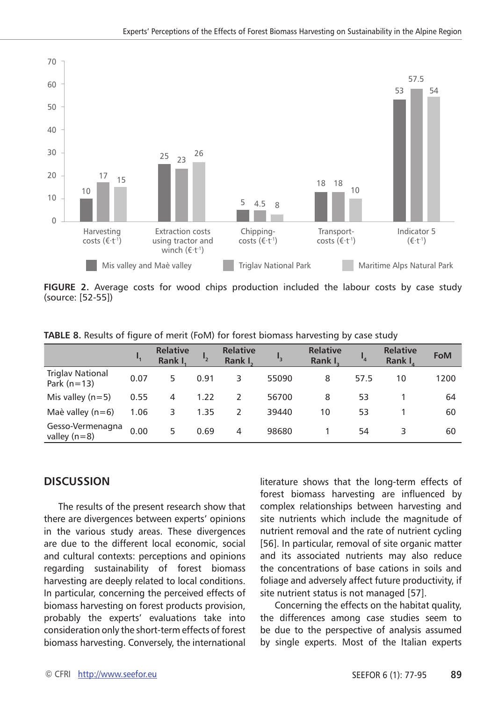

FIGURE 2. Average costs for wood chips production included the labour costs by case study (source: [52-55])

|                                          |      | <b>Relative</b><br><b>Rank L</b> |      | <b>Relative</b><br>Rank I. |       | <b>Relative</b><br>Rank I. |      | <b>Relative</b><br>Rank I | <b>FoM</b> |
|------------------------------------------|------|----------------------------------|------|----------------------------|-------|----------------------------|------|---------------------------|------------|
| <b>Triglay National</b><br>Park $(n=13)$ | 0.07 | 5                                | 0.91 | 3                          | 55090 | 8                          | 57.5 | 10                        | 1200       |
| Mis valley ( $n=5$ )                     | 0.55 | 4                                | 1.22 |                            | 56700 | 8                          | 53   |                           | 64         |
| Maè valley ( $n=6$ )                     | 1.06 | 3                                | 1.35 |                            | 39440 | 10                         | 53   |                           | 60         |
| Gesso-Vermenagna<br>valley $(n=8)$       | 0.00 | 5.                               | 0.69 | 4                          | 98680 |                            | 54   |                           | 60         |

#### **discussion**

The results of the present research show that there are divergences between experts' opinions in the various study areas. These divergences are due to the different local economic, social and cultural contexts: perceptions and opinions regarding sustainability of forest biomass harvesting are deeply related to local conditions. In particular, concerning the perceived effects of biomass harvesting on forest products provision, probably the experts' evaluations take into consideration only the short-term effects of forest biomass harvesting. Conversely, the international

literature shows that the long-term effects of forest biomass harvesting are influenced by complex relationships between harvesting and site nutrients which include the magnitude of nutrient removal and the rate of nutrient cycling [56]. In particular, removal of site organic matter and its associated nutrients may also reduce the concentrations of base cations in soils and foliage and adversely affect future productivity, if site nutrient status is not managed [57].

Concerning the effects on the habitat quality, the differences among case studies seem to be due to the perspective of analysis assumed by single experts. Most of the Italian experts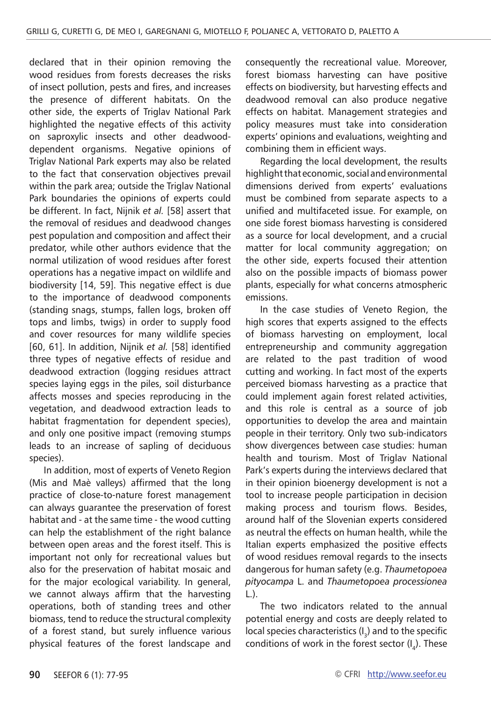declared that in their opinion removing the wood residues from forests decreases the risks of insect pollution, pests and fires, and increases the presence of different habitats. On the other side, the experts of Triglav National Park highlighted the negative effects of this activity on saproxylic insects and other deadwooddependent organisms. Negative opinions of Triglav National Park experts may also be related to the fact that conservation objectives prevail within the park area; outside the Triglav National Park boundaries the opinions of experts could be different. In fact, Nijnik *et al.* [58] assert that the removal of residues and deadwood changes pest population and composition and affect their predator, while other authors evidence that the normal utilization of wood residues after forest operations has a negative impact on wildlife and biodiversity [14, 59]. This negative effect is due to the importance of deadwood components (standing snags, stumps, fallen logs, broken off tops and limbs, twigs) in order to supply food and cover resources for many wildlife species [60, 61]. In addition, Nijnik *et al.* [58] identified three types of negative effects of residue and deadwood extraction (logging residues attract species laying eggs in the piles, soil disturbance affects mosses and species reproducing in the vegetation, and deadwood extraction leads to habitat fragmentation for dependent species), and only one positive impact (removing stumps leads to an increase of sapling of deciduous species).

In addition, most of experts of Veneto Region (Mis and Maè valleys) affirmed that the long practice of close-to-nature forest management can always guarantee the preservation of forest habitat and - at the same time - the wood cutting can help the establishment of the right balance between open areas and the forest itself. This is important not only for recreational values but also for the preservation of habitat mosaic and for the major ecological variability. In general, we cannot always affirm that the harvesting operations, both of standing trees and other biomass, tend to reduce the structural complexity of a forest stand, but surely influence various physical features of the forest landscape and

consequently the recreational value. Moreover, forest biomass harvesting can have positive effects on biodiversity, but harvesting effects and deadwood removal can also produce negative effects on habitat. Management strategies and policy measures must take into consideration experts' opinions and evaluations, weighting and combining them in efficient ways.

Regarding the local development, the results highlight that economic, social and environmental dimensions derived from experts' evaluations must be combined from separate aspects to a unified and multifaceted issue. For example, on one side forest biomass harvesting is considered as a source for local development, and a crucial matter for local community aggregation; on the other side, experts focused their attention also on the possible impacts of biomass power plants, especially for what concerns atmospheric emissions.

In the case studies of Veneto Region, the high scores that experts assigned to the effects of biomass harvesting on employment, local entrepreneurship and community aggregation are related to the past tradition of wood cutting and working. In fact most of the experts perceived biomass harvesting as a practice that could implement again forest related activities, and this role is central as a source of job opportunities to develop the area and maintain people in their territory. Only two sub-indicators show divergences between case studies: human health and tourism. Most of Triglav National Park's experts during the interviews declared that in their opinion bioenergy development is not a tool to increase people participation in decision making process and tourism flows. Besides, around half of the Slovenian experts considered as neutral the effects on human health, while the Italian experts emphasized the positive effects of wood residues removal regards to the insects dangerous for human safety (e.g. *Thaumetopoea pityocampa* L. and *Thaumetopoea processionea*  L.).

The two indicators related to the annual potential energy and costs are deeply related to local species characteristics  $(I_2)$  and to the specific conditions of work in the forest sector  $(I_n)$ . These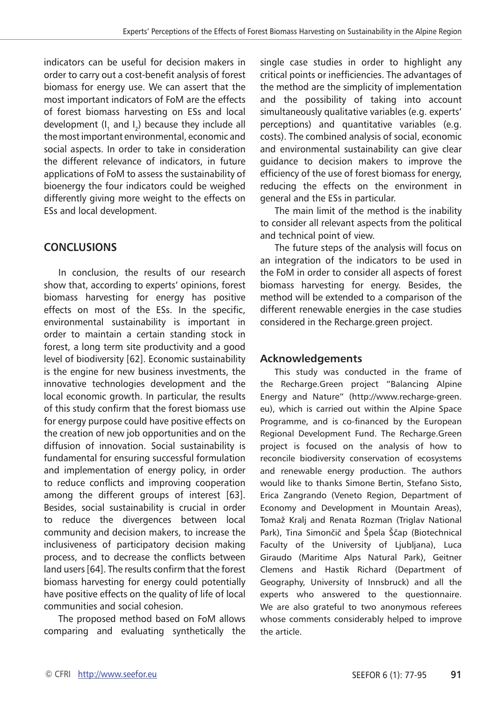indicators can be useful for decision makers in order to carry out a cost-benefit analysis of forest biomass for energy use. We can assert that the most important indicators of FoM are the effects of forest biomass harvesting on ESs and local development  $(I_1 \text{ and } I_2)$  because they include all the most important environmental, economic and social aspects. In order to take in consideration the different relevance of indicators, in future applications of FoM to assess the sustainability of bioenergy the four indicators could be weighed differently giving more weight to the effects on ESs and local development.

## **Conclusions**

In conclusion, the results of our research show that, according to experts' opinions, forest biomass harvesting for energy has positive effects on most of the ESs. In the specific, environmental sustainability is important in order to maintain a certain standing stock in forest, a long term site productivity and a good level of biodiversity [62]. Economic sustainability is the engine for new business investments, the innovative technologies development and the local economic growth. In particular, the results of this study confirm that the forest biomass use for energy purpose could have positive effects on the creation of new job opportunities and on the diffusion of innovation. Social sustainability is fundamental for ensuring successful formulation and implementation of energy policy, in order to reduce conflicts and improving cooperation among the different groups of interest [63]. Besides, social sustainability is crucial in order to reduce the divergences between local community and decision makers, to increase the inclusiveness of participatory decision making process, and to decrease the conflicts between land users [64]. The results confirm that the forest biomass harvesting for energy could potentially have positive effects on the quality of life of local communities and social cohesion.

The proposed method based on FoM allows comparing and evaluating synthetically the

single case studies in order to highlight any critical points or inefficiencies. The advantages of the method are the simplicity of implementation and the possibility of taking into account simultaneously qualitative variables (e.g. experts' perceptions) and quantitative variables (e.g. costs). The combined analysis of social, economic and environmental sustainability can give clear guidance to decision makers to improve the efficiency of the use of forest biomass for energy, reducing the effects on the environment in general and the ESs in particular.

The main limit of the method is the inability to consider all relevant aspects from the political and technical point of view.

The future steps of the analysis will focus on an integration of the indicators to be used in the FoM in order to consider all aspects of forest biomass harvesting for energy. Besides, the method will be extended to a comparison of the different renewable energies in the case studies considered in the Recharge.green project.

## **Acknowledgements**

This study was conducted in the frame of the Recharge.Green project "Balancing Alpine Energy and Nature" (http://www.recharge-green. eu), which is carried out within the Alpine Space Programme, and is co-financed by the European Regional Development Fund. The Recharge.Green project is focused on the analysis of how to reconcile biodiversity conservation of ecosystems and renewable energy production. The authors would like to thanks Simone Bertin, Stefano Sisto, Erica Zangrando (Veneto Region, Department of Economy and Development in Mountain Areas), Tomaž Kralj and Renata Rozman (Triglav National Park), Tina Simončič and Špela Ščap (Biotechnical Faculty of the University of Ljubljana), Luca Giraudo (Maritime Alps Natural Park), Geitner Clemens and Hastik Richard (Department of Geography, University of Innsbruck) and all the experts who answered to the questionnaire. We are also grateful to two anonymous referees whose comments considerably helped to improve the article.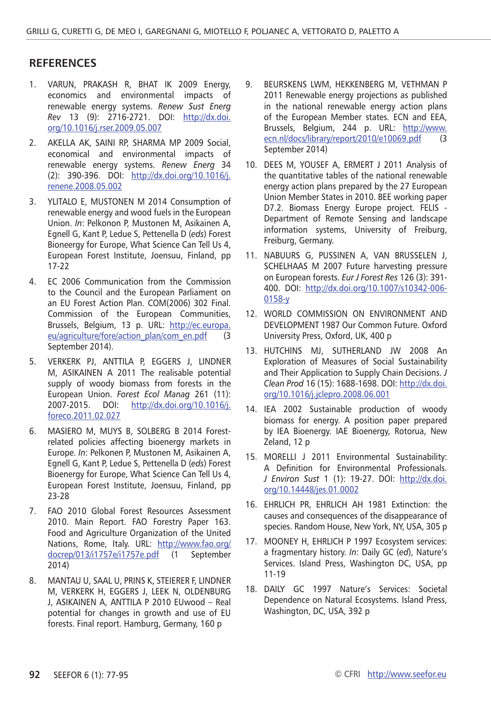#### **RefereNces**

- 1. Varun, Prakash R, Bhat IK 2009 Energy, economics and environmental impacts of renewable energy systems. *Renew Sust Energ Rev* 13 (9): 2716-2721. DOI: [http://dx.doi.](http://dx.doi.org/10.1016/j.rser.2009.05.007) [org/10.1016/j.rser.2009.05.007](http://dx.doi.org/10.1016/j.rser.2009.05.007)
- 2. Akella AK, Saini RP, Sharma MP 2009 Social, economical and environmental impacts of renewable energy systems. *Renew Energ* 34 (2): 390-396. DOI: [http://dx.doi.org/10.1016/j.](http://dx.doi.org/10.1016/j.renene.2008.05.002) [renene.2008.05.002](http://dx.doi.org/10.1016/j.renene.2008.05.002)
- 3. YLITALO E, MUSTONEN M 2014 Consumption of renewable energy and wood fuels in the European Union. *In*: Pelkonon P, Mustonen M, Asikainen A, Egnell G, Kant P, Ledue S, Pettenella D (*eds*) Forest Bioneergy for Europe, What Science Can Tell Us 4, European Forest Institute, Joensuu, Finland, pp 17-22
- 4. EC 2006 Communication from the Commission to the Council and the European Parliament on an EU Forest Action Plan. COM(2006) 302 Final. Commission of the European Communities, Brussels, Belgium, 13 p. URL: [http://ec.europa.](http://ec.europa.eu/agriculture/fore/action_plan/com_en.pdf) [eu/agriculture/fore/action\\_plan/com\\_en.pdf](http://ec.europa.eu/agriculture/fore/action_plan/com_en.pdf) (3 September 2014).
- 5. VERKERK PJ, ANTTILA P, EGGERS J, LINDNER M, ASIKAINEN A 2011 The realisable potential supply of woody biomass from forests in the European Union. *Forest Ecol Manag* 261 (11): 2007-2015. DOI: [http://dx.doi.org/10.1016/j.](http://dx.doi.org/10.1016/j.foreco.2011.02.027) [foreco.2011.02.027](http://dx.doi.org/10.1016/j.foreco.2011.02.027)
- 6. MASIERO M, MUYS B, SOLBERG B 2014 Forestrelated policies affecting bioenergy markets in Europe. *In*: Pelkonen P, Mustonen M, Asikainen A, Egnell G, Kant P, Ledue S, Pettenella D (*eds*) Forest Bioenergy for Europe, What Science Can Tell Us 4, European Forest Institute, Joensuu, Finland, pp 23-28
- 7. FAO 2010 Global Forest Resources Assessment 2010. Main Report. FAO Forestry Paper 163. Food and Agriculture Organization of the United Nations, Rome, Italy. URL: [http://www.fao.org/](http://www.fao.org/docrep/013/i1757e/i1757e.pdf) [docrep/013/i1757e/i1757e.pdf](http://www.fao.org/docrep/013/i1757e/i1757e.pdf) (1 September 2014)
- 8. Mantau U, Saal U, Prins K, Steierer F, Lindner M, Verkerk H, Eggers J, Leek N, Oldenburg J, Asikainen A, Anttila P 2010 EUwood – Real potential for changes in growth and use of EU forests. Final report. Hamburg, Germany, 160 p
- 9. Beurskens LWM, Hekkenberg M, Vethman P 2011 Renewable energy projections as published in the national renewable energy action plans of the European Member states. ECN and EEA, Brussels, Belgium, 244 p. URL: [http://www.](http://www.ecn.nl/docs/library/report/2010/e10069.pdf) [ecn.nl/docs/library/report/2010/e10069.pdf](http://www.ecn.nl/docs/library/report/2010/e10069.pdf) (3 September 2014)
- 10. Dees M, Yousef A, Ermert J 2011 Analysis of the quantitative tables of the national renewable energy action plans prepared by the 27 European Union Member States in 2010. BEE working paper D7.2. Biomass Energy Europe project. FELIS - Department of Remote Sensing and landscape information systems, University of Freiburg, Freiburg, Germany.
- 11. NABUURS G, PUSSINEN A, VAN BRUSSELEN J, SCHELHAAS M 2007 Future harvesting pressure on European forests. *Eur J Forest Res* 126 (3): 391- 400. DOI: [http://dx.doi.org/10.1007/s10342-006-](http://dx.doi.org/10.1007/s10342-006-0158-y) [0158-y](http://dx.doi.org/10.1007/s10342-006-0158-y)
- 12. WORLD COMMISSION ON ENVIRONMENT AND DEVELOPMENT 1987 Our Common Future. Oxford University Press, Oxford, UK, 400 p
- 13. HUTCHINS MJ, SUTHERLAND JW 2008 An Exploration of Measures of Social Sustainability and Their Application to Supply Chain Decisions. *J Clean Prod* 16 (15): 1688-1698. DOI: [http://dx.doi.](http://dx.doi.org/10.1016/j.jclepro.2008.06.001) [org/10.1016/j.jclepro.2008.06.001](http://dx.doi.org/10.1016/j.jclepro.2008.06.001)
- 14. IEA 2002 Sustainable production of woody biomass for energy. A position paper prepared by IEA Bioenergy. IAE Bioenergy, Rotorua, New Zeland, 12 p
- 15. MORELLI J 2011 Environmental Sustainability: A Definition for Environmental Professionals. *J Environ Sust* 1 (1): 19-27. DOI: [http://dx.doi.](http://dx.doi.org/10.14448/jes.01.0002) [org/10.14448/jes.01.0002](http://dx.doi.org/10.14448/jes.01.0002)
- 16. Ehrlich PR, Ehrlich AH 1981 Extinction: the causes and consequences of the disappearance of species. Random House, New York, NY, USA, 305 p
- 17. Mooney H, Ehrlich P 1997 Ecosystem services: a fragmentary history. *In*: Daily GC (*ed*), Nature's Services. Island Press, Washington DC, USA, pp 11-19
- 18. DAILY GC 1997 Nature's Services: Societal Dependence on Natural Ecosystems. Island Press, Washington, DC, USA, 392 p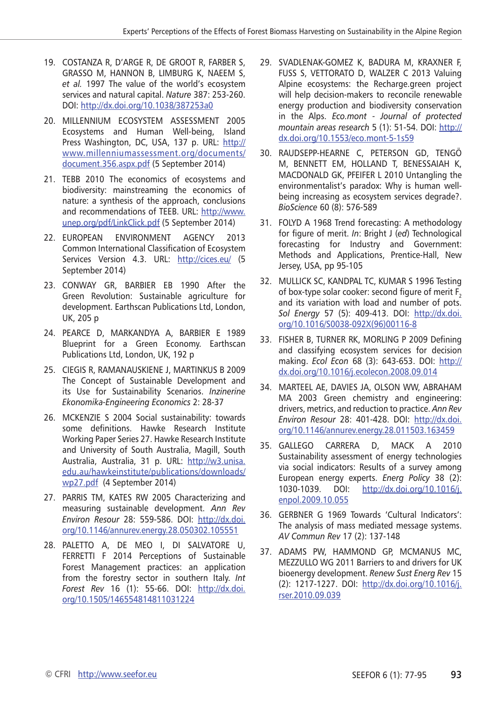- 19. COSTANZA R, D'ARGE R, DE GROOT R, FARBER S, GRASSO M, HANNON B, LIMBURG K, NAEEM S, *et al.* 1997 The value of the world's ecosystem services and natural capital. *Nature* 387: 253-260. DOI:<http://dx.doi.org/10.1038/387253a0>
- 20. Millennium Ecosystem Assessment 2005 Ecosystems and Human Well-being, Island Press Washington, DC, USA, 137 p. URL: [http://](http://www.millenniumassessment.org/documents/document.356.aspx.pdf ) [www.millenniumassessment.org/documents/](http://www.millenniumassessment.org/documents/document.356.aspx.pdf ) [document.356.aspx.pdf](http://www.millenniumassessment.org/documents/document.356.aspx.pdf ) (5 September 2014)
- 21. TEBB 2010 The economics of ecosystems and biodiversity: mainstreaming the economics of nature: a synthesis of the approach, conclusions and recommendations of TEEB. URL: [http://www.](http://www.unep.org/pdf/LinkClick.pdf) [unep.org/pdf/LinkClick.pdf](http://www.unep.org/pdf/LinkClick.pdf) (5 September 2014)
- 22. European Environment Agency 2013 Common International Classification of Ecosystem Services Version 4.3. URL: <http://cices.eu/> (5 September 2014)
- 23. Conway GR, Barbier EB 1990 After the Green Revolution: Sustainable agriculture for development. Earthscan Publications Ltd, London, UK, 205 p
- 24. Pearce D, Markandya A, Barbier E 1989 Blueprint for a Green Economy. Earthscan Publications Ltd, London, UK, 192 p
- 25. Ciegis R, Ramanauskiene J, Martinkus B 2009 The Concept of Sustainable Development and its Use for Sustainability Scenarios. *Inzinerine Ekonomika-Engineering Economics* 2: 28-37
- 26. McKenzie S 2004 Social sustainability: towards some definitions. Hawke Research Institute Working Paper Series 27. Hawke Research Institute and University of South Australia, Magill, South Australia, Australia, 31 p. URL: [http://w3.unisa.](http://w3.unisa.edu.au/hawkeinstitute/publications/downloads/wp27.pdf) [edu.au/hawkeinstitute/publications/downloads/](http://w3.unisa.edu.au/hawkeinstitute/publications/downloads/wp27.pdf) [wp27.pdf](http://w3.unisa.edu.au/hawkeinstitute/publications/downloads/wp27.pdf) (4 September 2014)
- 27. Parris TM, KATES RW 2005 Characterizing and measuring sustainable development. *Ann Rev Environ Resour* 28: 559-586. DOI: [http://dx.doi.](http://dx.doi.org/10.1146/annurev.energy.28.050302.105551) [org/10.1146/annurev.energy.28.050302.105551](http://dx.doi.org/10.1146/annurev.energy.28.050302.105551)
- 28. PALETTO A, DE MEO I, DI SALVATORE U, FERRETTI F 2014 Perceptions of Sustainable Forest Management practices: an application from the forestry sector in southern Italy. *Int Forest Rev* 16 (1): 55-66. DOI: [http://dx.doi.](http://dx.doi.org/10.1505/146554814811031224) [org/10.1505/146554814811031224](http://dx.doi.org/10.1505/146554814811031224)
- 29. Svadlenak-Gomez K, Badura M, Kraxner F, FUSS S, VETTORATO D, WALZER C 2013 Valuing Alpine ecosystems: the Recharge.green project will help decision-makers to reconcile renewable energy production and biodiversity conservation in the Alps. *Eco.mont - Journal of protected mountain areas research* 5 (1): 51-54. DOI: [http://](http://dx.doi.org/10.1553/eco.mont-5-1s59) [dx.doi.org/10.1553/eco.mont-5-1s59](http://dx.doi.org/10.1553/eco.mont-5-1s59)
- 30. Raudsepp-Hearne C, Peterson GD, Tengö M, Bennett EM, Holland T, Benessaiah K, MacDonald GK, Pfeifer L 2010 Untangling the environmentalist's paradox: Why is human wellbeing increasing as ecosystem services degrade?. *BioScience* 60 (8): 576-589
- 31. FOLYD A 1968 Trend forecasting: A methodology for figure of merit. *In*: Bright J (*ed*) Technological forecasting for Industry and Government: Methods and Applications, Prentice-Hall, New Jersey, USA, pp 95-105
- 32. Mullick SC, Kandpal TC, Kumar S 1996 Testing of box-type solar cooker: second figure of merit F<sub>2</sub> and its variation with load and number of pots. *Sol Energy* 57 (5): 409-413. DOI: [http://dx.doi.](http://dx.doi.org/10.1016/S0038-092X(96)00116-8) [org/10.1016/S0038-092X\(96\)00116-8](http://dx.doi.org/10.1016/S0038-092X(96)00116-8)
- 33. Fisher B, Turner RK, Morling P 2009 Defining and classifying ecosystem services for decision making. *Ecol Econ* 68 (3): 643-653. DOI: [http://](http://dx.doi.org/10.1016/j.ecolecon.2008.09.014) [dx.doi.org/10.1016/j.ecolecon.2008.09.014](http://dx.doi.org/10.1016/j.ecolecon.2008.09.014)
- 34. Marteel AE, Davies JA, Olson WW, Abraham MA 2003 Green chemistry and engineering: drivers, metrics, and reduction to practice. *Ann Rev Environ Resour* 28: 401-428. DOI: [http://dx.doi.](http://dx.doi.org/10.1146/annurev.energy.28.011503.163459) [org/10.1146/annurev.energy.28.011503.163459](http://dx.doi.org/10.1146/annurev.energy.28.011503.163459)
- 35. Gallego Carrera D, Mack A 2010 Sustainability assessment of energy technologies via social indicators: Results of a survey among European energy experts. *Energ Policy* 38 (2): 1030-1039. DOI: [http://dx.doi.org/10.1016/j.](http://dx.doi.org/10.1016/j.enpol.2009.10.055) [enpol.2009.10.055](http://dx.doi.org/10.1016/j.enpol.2009.10.055)
- 36. GERBNER G 1969 Towards 'Cultural Indicators': The analysis of mass mediated message systems. *AV Commun Rev* 17 (2): 137-148
- 37. Adams PW, Hammond GP, McManus MC, Mezzullo WG 2011 Barriers to and drivers for UK bioenergy development. *Renew Sust Energ Rev* 15 (2): 1217-1227. DOI: [http://dx.doi.org/10.1016/j.](http://dx.doi.org/10.1016/j.rser.2010.09.039) [rser.2010.09.039](http://dx.doi.org/10.1016/j.rser.2010.09.039)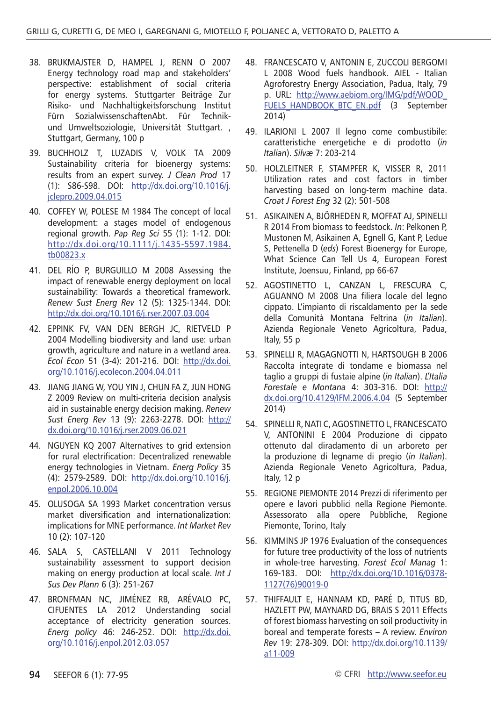- 38. Brukmajster D, Hampel J, Renn O 2007 Energy technology road map and stakeholders' perspective: establishment of social criteria for energy systems. Stuttgarter Beiträge Zur Risiko- und Nachhaltigkeitsforschung Institut Fürn SozialwissenschaftenAbt. Für Technikund Umweltsoziologie, Universität Stuttgart. , Stuttgart, Germany, 100 p
- 39. Buchholz T, Luzadis V, Volk TA 2009 Sustainability criteria for bioenergy systems: results from an expert survey. *J Clean Prod* 17 (1): S86-S98. DOI: [http://dx.doi.org/10.1016/j.](http://dx.doi.org/10.1016/j.jclepro.2009.04.015) [jclepro.2009.04.015](http://dx.doi.org/10.1016/j.jclepro.2009.04.015)
- 40. Coffey W, Polese M 1984 The concept of local development: a stages model of endogenous regional growth. *Pap Reg Sci* 55 (1): 1-12. DOI: [http://dx.doi.org/10.1111/j.1435-5597.1984.](http://dx.doi.org/10.1111/j.1435-5597.1984.tb00823.x) [tb00823.x](http://dx.doi.org/10.1111/j.1435-5597.1984.tb00823.x)
- 41. Del Río P, Burguillo M 2008 Assessing the impact of renewable energy deployment on local sustainability: Towards a theoretical framework. *Renew Sust Energ Rev* 12 (5): 1325-1344. DOI: <http://dx.doi.org/10.1016/j.rser.2007.03.004>
- 42. Eppink FV, van den Bergh JC, Rietveld P 2004 Modelling biodiversity and land use: urban growth, agriculture and nature in a wetland area. *Ecol Econ* 51 (3-4): 201-216. DOI: [http://dx.doi.](http://dx.doi.org/10.1016/j.ecolecon.2004.04.011) [org/10.1016/j.ecolecon.2004.04.011](http://dx.doi.org/10.1016/j.ecolecon.2004.04.011)
- 43. Jiang Jiang W, You Yin J, Chun Fa Z, Jun Hong Z 2009 Review on multi-criteria decision analysis aid in sustainable energy decision making. *Renew Sust Energ Rev* 13 (9): 2263-2278. DOI: [http://](http://dx.doi.org/10.1016/j.rser.2009.06.021) [dx.doi.org/10.1016/j.rser.2009.06.021](http://dx.doi.org/10.1016/j.rser.2009.06.021)
- 44. Nguyen KQ 2007 Alternatives to grid extension for rural electrification: Decentralized renewable energy technologies in Vietnam. *Energ Policy* 35 (4): 2579-2589. DOI: [http://dx.doi.org/10.1016/j.](http://dx.doi.org/10.1016/j.enpol.2006.10.004) [enpol.2006.10.004](http://dx.doi.org/10.1016/j.enpol.2006.10.004)
- 45. Olusoga SA 1993 Market concentration versus market diversification and internationalization: implications for MNE performance. *Int Market Rev* 10 (2): 107-120
- 46. Sala S, Castellani V 2011 Technology sustainability assessment to support decision making on energy production at local scale. *Int J Sus Dev Plann* 6 (3): 251-267
- 47. Bronfman NC, Jiménez RB, Arévalo PC, Cifuentes LA 2012 Understanding social acceptance of electricity generation sources. *Energ policy* 46: 246-252. DOI: [http://dx.doi.](http://dx.doi.org/10.1016/j.enpol.2012.03.057) [org/10.1016/j.enpol.2012.03.057](http://dx.doi.org/10.1016/j.enpol.2012.03.057)
- 48. FRANCESCATO V, ANTONIN E, ZUCCOLI BERGOMI L 2008 Wood fuels handbook. AIEL - Italian Agroforestry Energy Association, Padua, Italy, 79 p. URL: [http://www.aebiom.org/IMG/pdf/WOOD\\_](http://www.aebiom.org/IMG/pdf/WOOD_FUELS_HANDBOOK_BTC_EN.pdf ) [FUELS\\_HANDBOOK\\_BTC\\_EN.pdf](http://www.aebiom.org/IMG/pdf/WOOD_FUELS_HANDBOOK_BTC_EN.pdf ) (3 September 2014)
- 49. ILARIONI L 2007 Il legno come combustibile: caratteristiche energetiche e di prodotto (*in Italian*). *Silvæ* 7: 203-214
- 50. Holzleitner F, STAMPFER K, VISSER R, 2011 Utilization rates and cost factors in timber harvesting based on long-term machine data. *Croat J Forest Eng* 32 (2): 501-508
- 51. ASIKAINEN A, BJÖRHEDEN R, MOFFAT AJ, SPINELLI R 2014 From biomass to feedstock. *In*: Pelkonen P, Mustonen M, Asikainen A, Egnell G, Kant P, Ledue S, Pettenella D (*eds*) Forest Bioenergy for Europe, What Science Can Tell Us 4, European Forest Institute, Joensuu, Finland, pp 66-67
- 52. AGOSTINETTO L, CANZAN L, FRESCURA C, AGUANNO M 2008 Una filiera locale del legno cippato. L'impianto di riscaldamento per la sede della Comunità Montana Feltrina (*in Italian*). Azienda Regionale Veneto Agricoltura, Padua, Italy, 55 p
- 53. SPINELLI R, MAGAGNOTTI N, HARTSOUGH B 2006 Raccolta integrate di tondame e biomassa nel taglio a gruppi di fustaie alpine (*in Italian*). *L'Italia Forestale e Montana* 4: 303-316. DOI: [http://](http://dx.doi.org/10.4129/IFM.2006.4.04 ) [dx.doi.org/10.4129/IFM.2006.4.04](http://dx.doi.org/10.4129/IFM.2006.4.04 ) (5 September 2014)
- 54. SPINELLI R, NATI C, AGOSTINETTO L, FRANCESCATO V, ANTONINI E 2004 Produzione di cippato ottenuto dal diradamento di un arboreto per la produzione di legname di pregio (*in Italian*). Azienda Regionale Veneto Agricoltura, Padua, Italy, 12 p
- 55. REGIONE PIEMONTE 2014 Prezzi di riferimento per opere e lavori pubblici nella Regione Piemonte. Assessorato alla opere Pubbliche, Regione Piemonte, Torino, Italy
- 56. Kimmins JP 1976 Evaluation of the consequences for future tree productivity of the loss of nutrients in whole-tree harvesting. *Forest Ecol Manag* 1: 169-183. DOI: [http://dx.doi.org/10.1016/0378-](http://dx.doi.org/10.1016/0378-1127(76)90019-0) [1127\(76\)90019-0](http://dx.doi.org/10.1016/0378-1127(76)90019-0)
- 57. Thiffault E, Hannam KD, Paré D, Titus BD, Hazlett PW, Maynard DG, Brais S 2011 Effects of forest biomass harvesting on soil productivity in boreal and temperate forests – A review. *Environ Rev* 19: 278-309. DOI: [http://dx.doi.org/10.1139/](http://dx.doi.org/10.1139/a11-009) [a11-009](http://dx.doi.org/10.1139/a11-009)